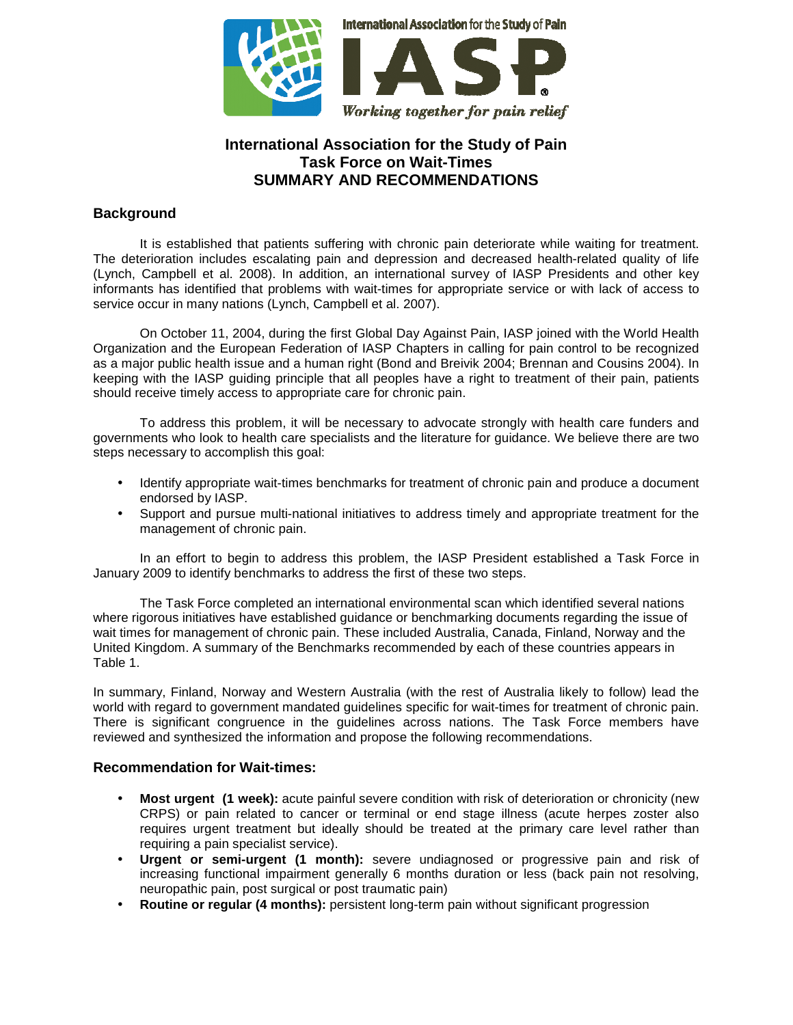

# **International Association for the Study of Pain Task Force on Wait-Times SUMMARY AND RECOMMENDATIONS**

### **Background**

 It is established that patients suffering with chronic pain deteriorate while waiting for treatment. The deterioration includes escalating pain and depression and decreased health-related quality of life (Lynch, Campbell et al. 2008). In addition, an international survey of IASP Presidents and other key informants has identified that problems with wait-times for appropriate service or with lack of access to service occur in many nations (Lynch, Campbell et al. 2007).

 On October 11, 2004, during the first Global Day Against Pain, IASP joined with the World Health Organization and the European Federation of IASP Chapters in calling for pain control to be recognized as a major public health issue and a human right (Bond and Breivik 2004; Brennan and Cousins 2004). In keeping with the IASP guiding principle that all peoples have a right to treatment of their pain, patients should receive timely access to appropriate care for chronic pain.

 To address this problem, it will be necessary to advocate strongly with health care funders and governments who look to health care specialists and the literature for guidance. We believe there are two steps necessary to accomplish this goal:

- Identify appropriate wait-times benchmarks for treatment of chronic pain and produce a document endorsed by IASP.
- Support and pursue multi-national initiatives to address timely and appropriate treatment for the management of chronic pain.

 In an effort to begin to address this problem, the IASP President established a Task Force in January 2009 to identify benchmarks to address the first of these two steps.

The Task Force completed an international environmental scan which identified several nations where rigorous initiatives have established guidance or benchmarking documents regarding the issue of wait times for management of chronic pain. These included Australia, Canada, Finland, Norway and the United Kingdom. A summary of the Benchmarks recommended by each of these countries appears in Table 1.

In summary, Finland, Norway and Western Australia (with the rest of Australia likely to follow) lead the world with regard to government mandated guidelines specific for wait-times for treatment of chronic pain. There is significant congruence in the guidelines across nations. The Task Force members have reviewed and synthesized the information and propose the following recommendations.

#### **Recommendation for Wait-times:**

- **Most urgent (1 week):** acute painful severe condition with risk of deterioration or chronicity (new CRPS) or pain related to cancer or terminal or end stage illness (acute herpes zoster also requires urgent treatment but ideally should be treated at the primary care level rather than requiring a pain specialist service).
- **Urgent or semi-urgent (1 month):** severe undiagnosed or progressive pain and risk of increasing functional impairment generally 6 months duration or less (back pain not resolving, neuropathic pain, post surgical or post traumatic pain)
- **Routine or regular (4 months):** persistent long-term pain without significant progression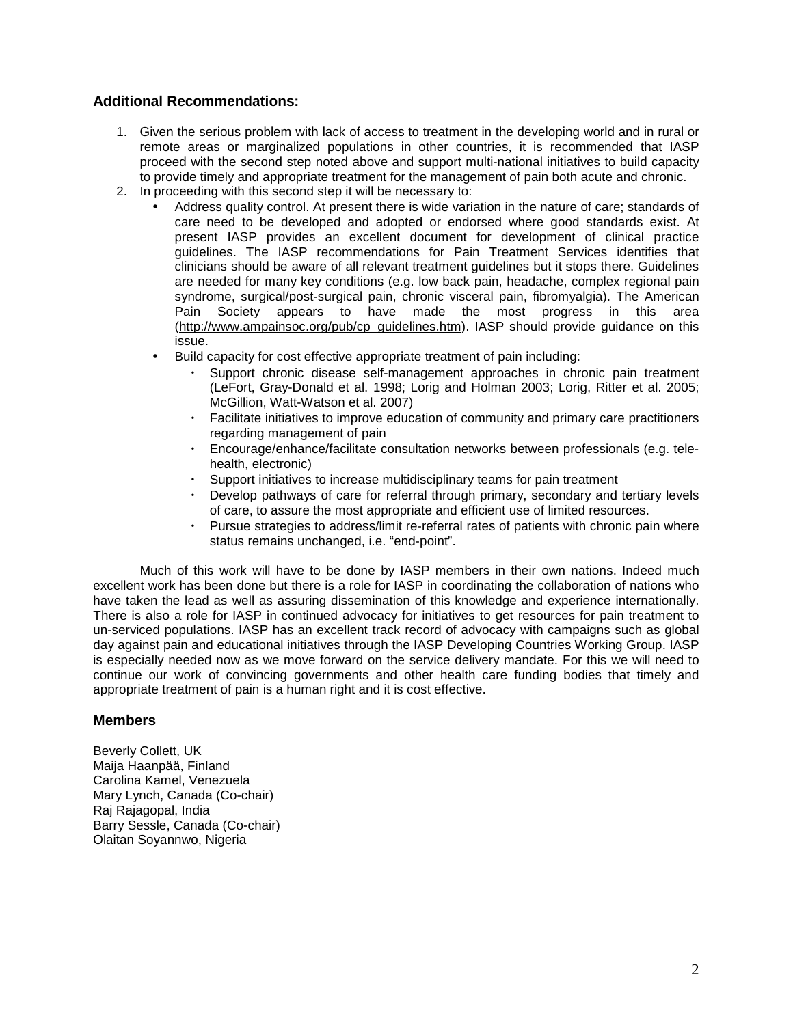### **Additional Recommendations:**

- 1. Given the serious problem with lack of access to treatment in the developing world and in rural or remote areas or marginalized populations in other countries, it is recommended that IASP proceed with the second step noted above and support multi-national initiatives to build capacity to provide timely and appropriate treatment for the management of pain both acute and chronic.
- 2. In proceeding with this second step it will be necessary to:
	- Address quality control. At present there is wide variation in the nature of care; standards of care need to be developed and adopted or endorsed where good standards exist. At present IASP provides an excellent document for development of clinical practice guidelines. The IASP recommendations for Pain Treatment Services identifies that clinicians should be aware of all relevant treatment guidelines but it stops there. Guidelines are needed for many key conditions (e.g. low back pain, headache, complex regional pain syndrome, surgical/post-surgical pain, chronic visceral pain, fibromyalgia). The American Pain Society appears to have made the most progress in this area (http://www.ampainsoc.org/pub/cp\_guidelines.htm). IASP should provide guidance on this issue.
	- Build capacity for cost effective appropriate treatment of pain including:
		- Support chronic disease self-management approaches in chronic pain treatment (LeFort, Gray-Donald et al. 1998; Lorig and Holman 2003; Lorig, Ritter et al. 2005; McGillion, Watt-Watson et al. 2007)
		- ・ Facilitate initiatives to improve education of community and primary care practitioners regarding management of pain
		- ・ Encourage/enhance/facilitate consultation networks between professionals (e.g. telehealth, electronic)
		- ・ Support initiatives to increase multidisciplinary teams for pain treatment
		- Develop pathways of care for referral through primary, secondary and tertiary levels of care, to assure the most appropriate and efficient use of limited resources.
		- Pursue strategies to address/limit re-referral rates of patients with chronic pain where status remains unchanged, i.e. "end-point".

Much of this work will have to be done by IASP members in their own nations. Indeed much excellent work has been done but there is a role for IASP in coordinating the collaboration of nations who have taken the lead as well as assuring dissemination of this knowledge and experience internationally. There is also a role for IASP in continued advocacy for initiatives to get resources for pain treatment to un-serviced populations. IASP has an excellent track record of advocacy with campaigns such as global day against pain and educational initiatives through the IASP Developing Countries Working Group. IASP is especially needed now as we move forward on the service delivery mandate. For this we will need to continue our work of convincing governments and other health care funding bodies that timely and appropriate treatment of pain is a human right and it is cost effective.

#### **Members**

Beverly Collett, UK Maija Haanpää, Finland Carolina Kamel, Venezuela Mary Lynch, Canada (Co-chair) Raj Rajagopal, India Barry Sessle, Canada (Co-chair) Olaitan Soyannwo, Nigeria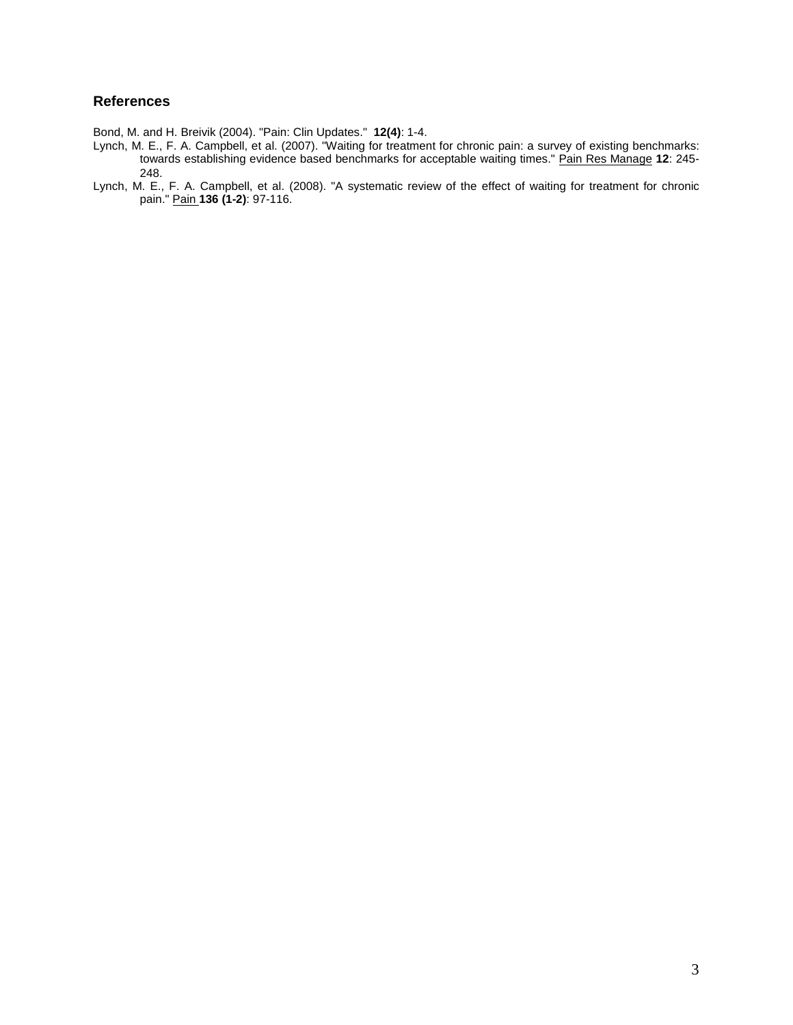### **References**

Bond, M. and H. Breivik (2004). "Pain: Clin Updates." **12(4)**: 1-4.

- Lynch, M. E., F. A. Campbell, et al. (2007). "Waiting for treatment for chronic pain: a survey of existing benchmarks: towards establishing evidence based benchmarks for acceptable waiting times." Pain Res Manage **12**: 245- 248.
- Lynch, M. E., F. A. Campbell, et al. (2008). "A systematic review of the effect of waiting for treatment for chronic pain." Pain **136 (1-2)**: 97-116.